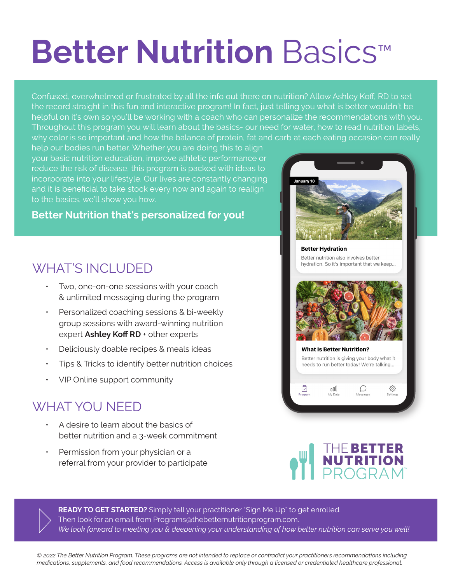## **Better Nutrition** Basics™

Confused, overwhelmed or frustrated by all the info out there on nutrition? Allow Ashley Koff, RD to set the record straight in this fun and interactive program! In fact, just telling you what is better wouldn't be helpful on it's own so you'll be working with a coach who can personalize the recommendations with you. Throughout this program you will learn about the basics- our need for water, how to read nutrition labels, why color is so important and how the balance of protein, fat and carb at each eating occasion can really

help our bodies run better. Whether you are doing this to align your basic nutrition education, improve athletic performance or reduce the risk of disease, this program is packed with ideas to incorporate into your lifestyle. Our lives are constantly changing and it is beneficial to take stock every now and again to realign to the basics, we'll show you how.

## **Better Nutrition that's personalized for you!**

## WHAT'S INCLUDED

- ƽ Two, one-on-one sessions with your coach & unlimited messaging during the program
- Personalized coaching sessions & bi-weekly group sessions with award-winning nutrition expert Ashley Koff RD + other experts
- ƽ Deliciously doable recipes & meals ideas
- ƽ Tips & Tricks to identify better nutrition choices
- VIP Online support community

## WHAT YOU NEED

- ƽ A desire to learn about the basics of better nutrition and a 3-week commitment
- Permission from your physician or a referral from your provider to participate



**Better Hydration** Better nutrition also involves better hydration! So it's important that we keep...







**READY TO GET STARTED?** Simply tell your practitioner "Sign Me Up" to get enrolled. Then look for an email from Programs@thebetternutritionprogram.com. *We look forward to meeting you & deepening your understanding of how better nutrition can serve you well!* 

*© 2022 The Better Nutrition Program. These programs are not intended to replace or contradict your practitioners recommendations including medications, supplements, and food recommendations. Access is available only through a licensed or credentialed healthcare professional.*